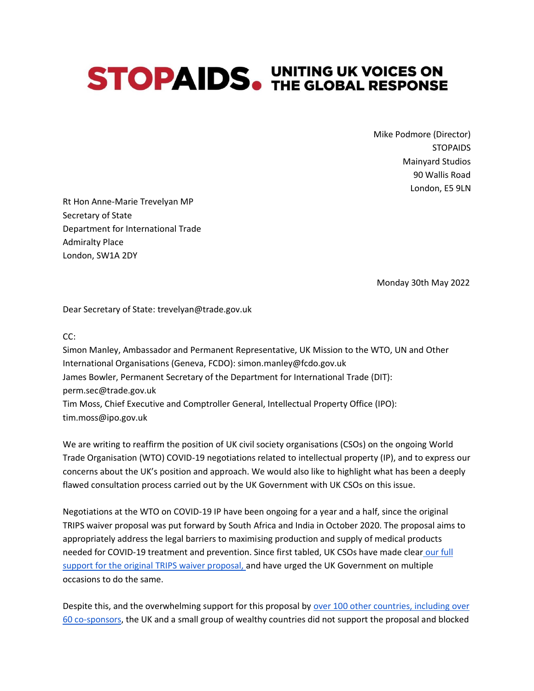## **STOPAIDS. UNITING UK VOICES ON STOPAIDS.** THE GLOBAL RESPONSE

Mike Podmore (Director) **STOPAIDS** Mainyard Studios 90 Wallis Road London, E5 9LN

Rt Hon Anne-Marie Trevelyan MP Secretary of State Department for International Trade Admiralty Place London, SW1A 2DY

Monday 30th May 2022

Dear Secretary of State: trevelyan@trade.gov.uk

CC:

Simon Manley, Ambassador and Permanent Representative, UK Mission to the WTO, UN and Other International Organisations (Geneva, FCDO): simon.manley@fcdo.gov.uk James Bowler, Permanent Secretary of the Department for International Trade (DIT): perm.sec@trade.gov.uk Tim Moss, Chief Executive and Comptroller General, Intellectual Property Office (IPO): tim.moss@ipo.gov.uk

We are writing to reaffirm the position of UK civil society organisations (CSOs) on the ongoing World Trade Organisation (WTO) COVID-19 negotiations related to intellectual property (IP), and to express our concerns about the UK's position and approach. We would also like to highlight what has been a deeply flawed consultation process carried out by the UK Government with UK CSOs on this issue.

Negotiations at the WTO on COVID-19 IP have been ongoing for a year and a half, since the original TRIPS waiver proposal was put forward by South Africa and India in October 2020. The proposal aims to appropriately address the legal barriers to maximising production and supply of medical products needed for COVID-19 treatment and prevention. Since first tabled, UK CSOs have made clea[r](https://msfaccess.org/joint-uk-civil-society-letter-uk-government-calling-support-india-and-south-africas-wto-waiver) [our](https://msfaccess.org/joint-uk-civil-society-letter-uk-government-calling-support-india-and-south-africas-wto-waiver) [full](https://msfaccess.org/joint-uk-civil-society-letter-uk-government-calling-support-india-and-south-africas-wto-waiver)  [support for the original TRIPS waiver proposal, a](https://msfaccess.org/joint-uk-civil-society-letter-uk-government-calling-support-india-and-south-africas-wto-waiver)nd have urged the UK Government on multiple occasions to do the same.

Despite this, and the overwhelming support for this proposal by [over 100 other countries, including](https://msfaccess.org/no-patents-no-monopolies-pandemic) over [60 co-sponsors,](https://msfaccess.org/no-patents-no-monopolies-pandemic) the UK and a small group of wealthy countries did not support the proposal and blocked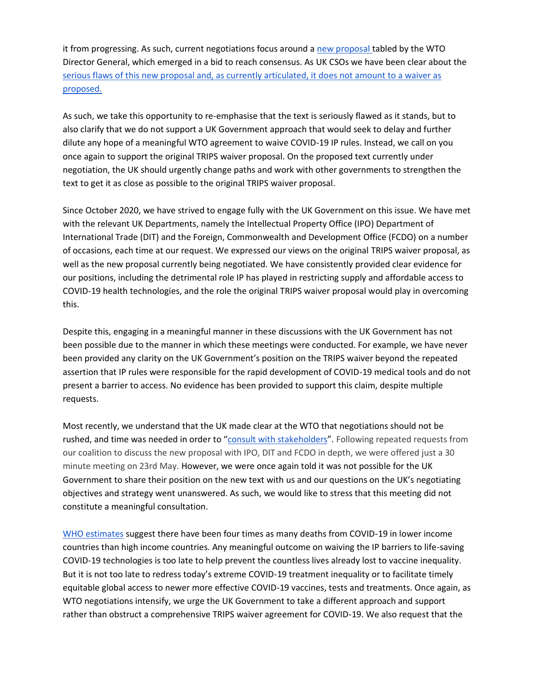it from progressing. As such, current negotiations focus around a [new proposal t](https://docs.wto.org/dol2fe/Pages/SS/directdoc.aspx?filename=q:/IP/C/W688.pdf&Open=True)abled by the WTO Director General, which emerged in a bid to reach consensus. As UK CSOs we have been clear about the [serious flaws of this new proposal and, as currently articulated, it does not amount to a waiver as](https://msfaccess.org/sites/default/files/2022-03/COVID19_TechBrief_MSF-AC_Waiver-Quad-text_briefing-doc_ENG_March2022.pdf)  [proposed.](https://msfaccess.org/sites/default/files/2022-03/COVID19_TechBrief_MSF-AC_Waiver-Quad-text_briefing-doc_ENG_March2022.pdf)

As such, we take this opportunity to re-emphasise that the text is seriously flawed as it stands, but to also clarify that we do not support a UK Government approach that would seek to delay and further dilute any hope of a meaningful WTO agreement to waive COVID-19 IP rules. Instead, we call on you once again to support the original TRIPS waiver proposal. On the proposed text currently under negotiation, the UK should urgently change paths and work with other governments to strengthen the text to get it as close as possible to the original TRIPS waiver proposal.

Since October 2020, we have strived to engage fully with the UK Government on this issue. We have met with the relevant UK Departments, namely the Intellectual Property Office (IPO) Department of International Trade (DIT) and the Foreign, Commonwealth and Development Office (FCDO) on a number of occasions, each time at our request. We expressed our views on the original TRIPS waiver proposal, as well as the new proposal currently being negotiated. We have consistently provided clear evidence for our positions, including the detrimental role IP has played in restricting supply and affordable access to COVID-19 health technologies, and the role the original TRIPS waiver proposal would play in overcoming this.

Despite this, engaging in a meaningful manner in these discussions with the UK Government has not been possible due to the manner in which these meetings were conducted. For example, we have never been provided any clarity on the UK Government's position on the TRIPS waiver beyond the repeated assertion that IP rules were responsible for the rapid development of COVID-19 medical tools and do not present a barrier to access. No evidence has been provided to support this claim, despite multiple requests.

Most recently, we understand that the UK made clear at the WTO that negotiations should not be rushed, and time was needed in order to "[consult with stakeholders](https://subscriber.politicopro.com/article/2022/05/wto-vaccine-negotiations-risk-stalling-out-prompting-lecture-from-okonjo-iweala-00033721)". Following repeated requests from our coalition to discuss the new proposal with IPO, DIT and FCDO in depth, we were offered just a 30 minute meeting on 23rd May. However, we were once again told it was not possible for the UK Government to share their position on the new text with us and our questions on the UK's negotiating objectives and strategy went unanswered. As such, we would like to stress that this meeting did not constitute a meaningful consultation.

[WHO estimates](https://www.who.int/data/stories/global-excess-deaths-associated-with-covid-19-january-2020-december-2021) suggest there have been four times as many deaths from COVID-19 in lower income countries than high income countries. Any meaningful outcome on waiving the IP barriers to life-saving COVID-19 technologies is too late to help prevent the countless lives already lost to vaccine inequality. But it is not too late to redress today's extreme COVID-19 treatment inequality or to facilitate timely equitable global access to newer more effective COVID-19 vaccines, tests and treatments. Once again, as WTO negotiations intensify, we urge the UK Government to take a different approach and support rather than obstruct a comprehensive TRIPS waiver agreement for COVID-19. We also request that the